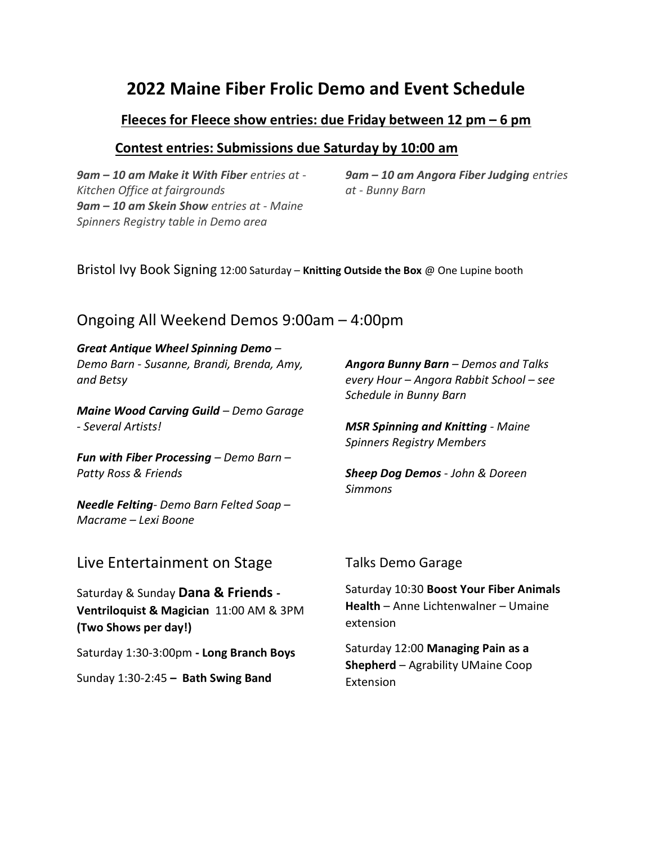# 2022 Maine Fiber Frolic Demo and Event Schedule

### Fleeces for Fleece show entries: due Friday between 12 pm – 6 pm

### Contest entries: Submissions due Saturday by 10:00 am

9am – 10 am Make it With Fiber entries at - Kitchen Office at fairgrounds 9am – 10 am Skein Show entries at - Maine Spinners Registry table in Demo area

9am – 10 am Angora Fiber Judging entries at - Bunny Barn

Bristol Ivy Book Signing 12:00 Saturday – Knitting Outside the Box @ One Lupine booth

# Ongoing All Weekend Demos 9:00am – 4:00pm

#### Great Antique Wheel Spinning Demo – Demo Barn - Susanne, Brandi, Brenda, Amy,

and Betsy

Maine Wood Carving Guild – Demo Garage - Several Artists!

**Fun with Fiber Processing – Demo Barn –** Patty Ross & Friends

Needle Felting- Demo Barn Felted Soap – Macrame – Lexi Boone

Angora Bunny Barn – Demos and Talks every Hour – Angora Rabbit School – see Schedule in Bunny Barn

MSR Spinning and Knitting - Maine Spinners Registry Members

Sheep Dog Demos - John & Doreen Simmons

### Live Entertainment on Stage

Saturday & Sunday Dana & Friends -Ventriloquist & Magician 11:00 AM & 3PM (Two Shows per day!)

Saturday 1:30-3:00pm - Long Branch Boys

Sunday 1:30-2:45 – Bath Swing Band

#### Talks Demo Garage

Saturday 10:30 Boost Your Fiber Animals Health – Anne Lichtenwalner – Umaine extension

Saturday 12:00 Managing Pain as a Shepherd – Agrability UMaine Coop Extension